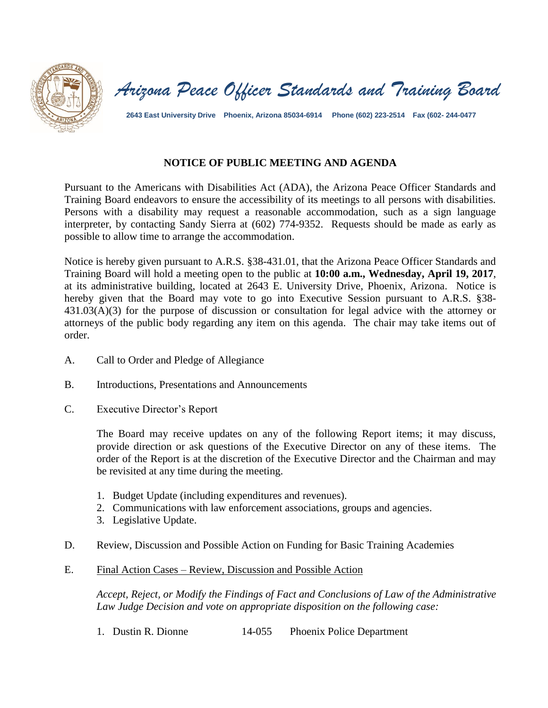

*Arizona Peace Officer Standards and Training Board*

**2643 East University Drive Phoenix, Arizona 85034-6914 Phone (602) 223-2514 Fax (602- 244-0477**

## **NOTICE OF PUBLIC MEETING AND AGENDA**

Pursuant to the Americans with Disabilities Act (ADA), the Arizona Peace Officer Standards and Training Board endeavors to ensure the accessibility of its meetings to all persons with disabilities. Persons with a disability may request a reasonable accommodation, such as a sign language interpreter, by contacting Sandy Sierra at (602) 774-9352. Requests should be made as early as possible to allow time to arrange the accommodation.

Notice is hereby given pursuant to A.R.S. §38-431.01, that the Arizona Peace Officer Standards and Training Board will hold a meeting open to the public at **10:00 a.m., Wednesday, April 19, 2017**, at its administrative building, located at 2643 E. University Drive, Phoenix, Arizona. Notice is hereby given that the Board may vote to go into Executive Session pursuant to A.R.S. §38-431.03(A)(3) for the purpose of discussion or consultation for legal advice with the attorney or attorneys of the public body regarding any item on this agenda. The chair may take items out of order.

- A. Call to Order and Pledge of Allegiance
- B. Introductions, Presentations and Announcements
- C. Executive Director's Report

The Board may receive updates on any of the following Report items; it may discuss, provide direction or ask questions of the Executive Director on any of these items. The order of the Report is at the discretion of the Executive Director and the Chairman and may be revisited at any time during the meeting.

- 1. Budget Update (including expenditures and revenues).
- 2. Communications with law enforcement associations, groups and agencies.
- 3. Legislative Update.
- D. Review, Discussion and Possible Action on Funding for Basic Training Academies
- E. Final Action Cases Review, Discussion and Possible Action

*Accept, Reject, or Modify the Findings of Fact and Conclusions of Law of the Administrative Law Judge Decision and vote on appropriate disposition on the following case:*

1. Dustin R. Dionne 14-055 Phoenix Police Department